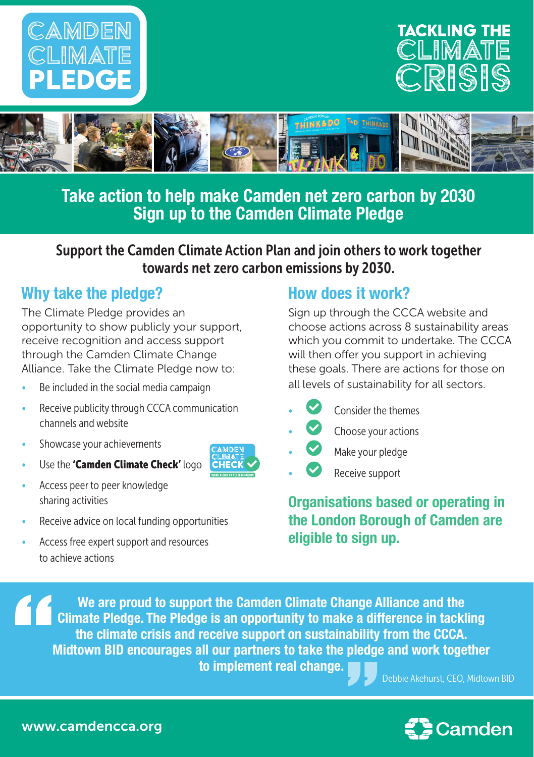





**Take action to help make Camden net zero carbon by 2030 Sign up to the Camden Climate Pledge** 

Support the Camden Climate Action Plan and join others to work together towards net zero carbon emissions by 2030.

## **Why take the pledge?**

The Climate Pledge provides an opportunity to show publicly your support, receive recognition and access support through the Camden Climate Change Alliance. Take the Climate Pledge now to:

- Be included in the social media campaign
- Receive publicity through CCCA communication channels and website
- Showcase your achievements
- Use the 'Camden Climate Check' logo
- Access peer to peer knowledge sharing activities
- Receive advice on local funding opportunities
- Access free expert support and resources to achieve actions

## **How does it work?**

Sign up through the CCCA website and choose actions across 8 sustainability areas which you commit to undertake. The CCCA will then offer you support in achieving these goals. There are actions for those on all levels of sustainability for all sectors.

- Consider the themes
- $\bullet$  Choose your actions
- Make your pledge
- Receive support

**Organisations based or operating in the London Borough of Camden are eligible to sign up.** 

**We are proud to support the Camden Climate Change Alliance and the Climate Pledge. The Pledge is an opportunity to make a difference in tackling the climate crisis and receive support on sustainability from the CCCA. Midtown BID encourages all our partners to take the pledge and work together to implement real change. • Debbie Akehurst, CEO, Midtown BID.**